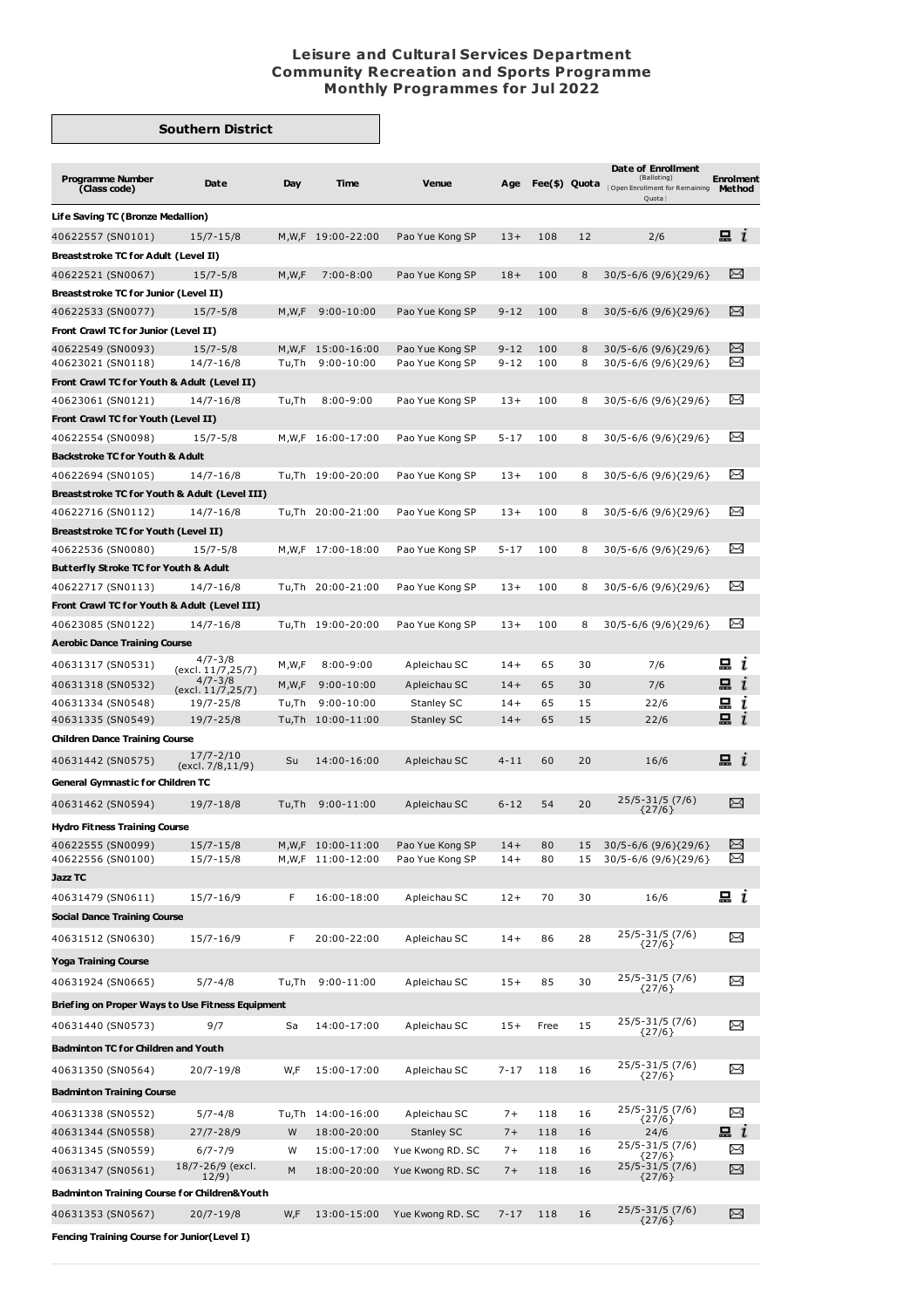## **Leisure and Cultural Services Department Community Recreation and Sports Programme Monthly Programmes for Jul 2022**

## **Southern District**

|                                                  |                                   |       |                   |                   |          |      |    | Date of Enrollment<br>(Balloting)                                |                            |  |
|--------------------------------------------------|-----------------------------------|-------|-------------------|-------------------|----------|------|----|------------------------------------------------------------------|----------------------------|--|
| <b>Programme Number</b><br>(Class code)          | Date                              | Day   | <b>Time</b>       | <b>Venue</b>      | Age      |      |    | Fee(\$) Quota <sub>(Open Enrollment for Remaining</sub><br>Quota | <b>Enrolment</b><br>Method |  |
| Life Saving TC (Bronze Medallion)                |                                   |       |                   |                   |          |      |    |                                                                  |                            |  |
| 40622557 (SN0101)                                | 15/7-15/8                         | M,W,F | 19:00-22:00       | Pao Yue Kong SP   | $13+$    | 108  | 12 | 2/6                                                              | $\Xi$ $i$                  |  |
| <b>Breaststroke TC for Adult (Level II)</b>      |                                   |       |                   |                   |          |      |    |                                                                  |                            |  |
| 40622521 (SN0067)                                | $15/7 - 5/8$                      | M,W,F | $7:00 - 8:00$     | Pao Yue Kong SP   | $18+$    | 100  | 8  | 30/5-6/6 (9/6) {29/6}                                            | ⊠                          |  |
| <b>Breaststroke TC for Junior (Level II)</b>     |                                   |       |                   |                   |          |      |    |                                                                  |                            |  |
| 40622533 (SN0077)                                | $15/7 - 5/8$                      | M,W,F | $9:00 - 10:00$    | Pao Yue Kong SP   | $9 - 12$ | 100  | 8  | $30/5 - 6/6 (9/6){29/6}$                                         | ⊠                          |  |
| Front Crawl TC for Junior (Level II)             |                                   |       |                   |                   |          |      |    |                                                                  |                            |  |
| 40622549 (SN0093)                                | $15/7 - 5/8$                      | M,W,F | 15:00-16:00       | Pao Yue Kong SP   | $9 - 12$ | 100  | 8  | $30/5 - 6/6 (9/6){29/6}$                                         | $\Join$<br>X               |  |
| 40623021 (SN0118)                                | 14/7-16/8                         | Tu,Th | $9:00 - 10:00$    | Pao Yue Kong SP   | $9 - 12$ | 100  | 8  | 30/5-6/6 (9/6) {29/6}                                            |                            |  |
| Front Crawl TC for Youth & Adult (Level II)      |                                   |       |                   |                   |          |      |    |                                                                  | ⊠                          |  |
| 40623061 (SN0121)                                | $14/7 - 16/8$                     | Tu,Th | $8:00 - 9:00$     | Pao Yue Kong SP   | $13+$    | 100  | 8  | 30/5-6/6 (9/6) {29/6}                                            |                            |  |
| Front Crawl TC for Youth (Level II)              |                                   |       |                   |                   |          |      |    |                                                                  |                            |  |
| 40622554 (SN0098)                                | $15/7 - 5/8$                      |       | M,W,F 16:00-17:00 | Pao Yue Kong SP   | $5 - 17$ | 100  | 8  | 30/5-6/6 (9/6) {29/6}                                            | X                          |  |
| <b>Backstroke TC for Youth &amp; Adult</b>       |                                   |       |                   |                   |          |      |    |                                                                  |                            |  |
| 40622694 (SN0105)                                | 14/7-16/8                         |       | Tu,Th 19:00-20:00 | Pao Yue Kong SP   | $13+$    | 100  | 8  | $30/5 - 6/6 (9/6){29/6}$                                         | ⊠                          |  |
| Breaststroke TC for Youth & Adult (Level III)    |                                   |       |                   |                   |          |      |    |                                                                  |                            |  |
| 40622716 (SN0112)                                | $14/7 - 16/8$                     |       | Tu,Th 20:00-21:00 | Pao Yue Kong SP   | $13+$    | 100  | 8  | 30/5-6/6 (9/6) {29/6}                                            | X                          |  |
| Breaststroke TC for Youth (Level II)             |                                   |       |                   |                   |          |      |    |                                                                  |                            |  |
| 40622536 (SN0080)                                | $15/7 - 5/8$                      |       | M,W,F 17:00-18:00 | Pao Yue Kong SP   | $5 - 17$ | 100  | 8  | $30/5 - 6/6 (9/6){29/6}$                                         | ⊠                          |  |
| Butterfly Stroke TC for Youth & Adult            |                                   |       |                   |                   |          |      |    |                                                                  |                            |  |
| 40622717 (SN0113)                                | 14/7-16/8                         |       | Tu,Th 20:00-21:00 | Pao Yue Kong SP   | $13+$    | 100  | 8  | 30/5-6/6 (9/6) {29/6}                                            | ⊠                          |  |
| Front Crawl TC for Youth & Adult (Level III)     |                                   |       |                   |                   |          |      |    |                                                                  |                            |  |
| 40623085 (SN0122)                                | 14/7-16/8                         |       | Tu,Th 19:00-20:00 | Pao Yue Kong SP   | $13+$    | 100  | 8  | $30/5 - 6/6 (9/6){29/6}$                                         | ∝                          |  |
| <b>Aerobic Dance Training Course</b>             |                                   |       |                   |                   |          |      |    |                                                                  |                            |  |
| 40631317 (SN0531)                                | $4/7 - 3/8$<br>(excl. 11/7,25/7)  | M,W,F | $8:00 - 9:00$     | A pleichau SC     | $14+$    | 65   | 30 | 7/6                                                              | 묘<br>ı                     |  |
| 40631318 (SN0532)                                | $4/7 - 3/8$<br>(excl. 11/7, 25/7) | M,W,F | $9:00 - 10:00$    | A pleichau SC     | $14+$    | 65   | 30 | 7/6                                                              | 묘<br>ı                     |  |
| 40631334 (SN0548)                                | 19/7-25/8                         | Tu,Th | $9:00 - 10:00$    | Stanley SC        | $14+$    | 65   | 15 | 22/6                                                             | 묘<br>ı                     |  |
| 40631335 (SN0549)                                | 19/7-25/8                         | Tu,Th | 10:00-11:00       | <b>Stanley SC</b> | $14+$    | 65   | 15 | 22/6                                                             | 묘<br>$\mathbf{I}$          |  |
| <b>Children Dance Training Course</b>            |                                   |       |                   |                   |          |      |    |                                                                  |                            |  |
| 40631442 (SN0575)                                | $17/7 - 2/10$<br>(excl. 7/8,11/9) | Su    | 14:00-16:00       | A pleichau SC     | $4 - 11$ | 60   | 20 | 16/6                                                             | $\mathbf{a}$ i             |  |
| <b>General Gymnastic for Children TC</b>         |                                   |       |                   |                   |          |      |    |                                                                  |                            |  |
| 40631462 (SN0594)                                | 19/7-18/8                         | Tu,Th | $9:00 - 11:00$    | A pleichau SC     | $6 - 12$ | 54   | 20 | 25/5-31/5 (7/6)<br>${27/6}$                                      | $\Join$                    |  |
| <b>Hydro Fitness Training Course</b>             |                                   |       |                   |                   |          |      |    |                                                                  |                            |  |
| 40622555 (SN0099)                                | $15/7 - 15/8$                     |       | M,W,F 10:00-11:00 | Pao Yue Kong SP   | $14+$    | 80   | 15 | 30/5-6/6 (9/6){29/6}                                             | ≻≺                         |  |
| 40622556 (SN0100)                                | 15/7-15/8                         |       | M,W,F 11:00-12:00 | Pao Yue Kong SP   | $14+$    | 80   | 15 | 30/5-6/6 (9/6) {29/6}                                            | ≃                          |  |
| Jazz TC                                          |                                   |       |                   |                   |          |      |    |                                                                  |                            |  |
| 40631479 (SN0611)                                | $15/7 - 16/9$                     | F     | 16:00-18:00       | A pleichau SC     | $12 +$   | 70   | 30 | 16/6                                                             | $\Xi$ i                    |  |
| <b>Social Dance Training Course</b>              |                                   |       |                   |                   |          |      |    |                                                                  |                            |  |
| 40631512 (SN0630)                                | 15/7-16/9                         | F     | 20:00-22:00       | A pleichau SC     | $14+$    | 86   | 28 | 25/5-31/5 (7/6)<br>${27/6}$                                      | ⊠                          |  |
| Yoga Training Course                             |                                   |       |                   |                   |          |      |    |                                                                  |                            |  |
| 40631924 (SN0665)                                | $5/7 - 4/8$                       | Tu,Th | $9:00 - 11:00$    | A pleichau SC     | $15+$    | 85   | 30 | 25/5-31/5 (7/6)<br>${27/6}$                                      | X                          |  |
| Briefing on Proper Ways to Use Fitness Equipment |                                   |       |                   |                   |          |      |    |                                                                  |                            |  |
| 40631440 (SN0573)                                | 9/7                               | Sa    | 14:00-17:00       | A pleichau SC     | $15+$    | Free | 15 | 25/5-31/5 (7/6)                                                  | ⊠                          |  |
| <b>Badminton TC for Children and Youth</b>       |                                   |       |                   |                   |          |      |    | ${27/6}$                                                         |                            |  |
| 40631350 (SN0564)                                | 20/7-19/8                         | W,F   | 15:00-17:00       | A pleichau SC     | $7 - 17$ | 118  | 16 | 25/5-31/5 (7/6)                                                  | ⊠                          |  |
|                                                  |                                   |       |                   |                   |          |      |    | ${27/6}$                                                         |                            |  |
| <b>Badminton Training Course</b>                 |                                   |       |                   |                   |          |      |    |                                                                  |                            |  |
| 40631338 (SN0552)                                | $5/7 - 4/8$                       |       | Tu,Th 14:00-16:00 | A pleichau SC     | $7+$     | 118  | 16 | 25/5-31/5 (7/6)<br>${27/6}$                                      | X                          |  |
| 40631344 (SN0558)                                | 27/7-28/9                         | W     | 18:00-20:00       | <b>Stanley SC</b> | $7+$     | 118  | 16 | 24/6                                                             | 묘 $i$                      |  |
| 40631345 (SN0559)                                | $6/7 - 7/9$                       | W     | 15:00-17:00       | Yue Kwong RD. SC  | $7+$     | 118  | 16 | 25/5-31/5 (7/6)<br>${27/6}$                                      | X                          |  |
| 40631347 (SN0561)                                | 18/7-26/9 (excl.<br>12/9)         | М     | 18:00-20:00       | Yue Kwong RD. SC  | $7+$     | 118  | 16 | 25/5-31/5 (7/6)<br>${27/6}$                                      | ⊠                          |  |
| Badminton Training Course for Children&Youth     |                                   |       |                   |                   |          |      |    |                                                                  |                            |  |
| 40631353 (SN0567)                                | $20/7 - 19/8$                     | W,F   | 13:00-15:00       | Yue Kwong RD. SC  | $7 - 17$ | 118  | 16 | 25/5-31/5 (7/6)<br>${27/6}$                                      | ⊠                          |  |
| Fencing Training Course for Junior(Level I)      |                                   |       |                   |                   |          |      |    |                                                                  |                            |  |